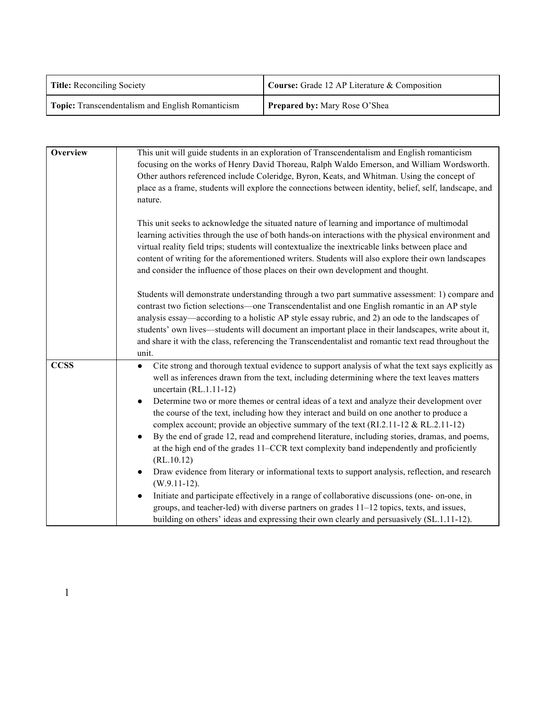| <b>Title:</b> Reconciling Society                       | Course: Grade 12 AP Literature & Composition |
|---------------------------------------------------------|----------------------------------------------|
| <b>Topic:</b> Transcendentalism and English Romanticism | <b>Prepared by:</b> Mary Rose O'Shea         |

| Overview    | This unit will guide students in an exploration of Transcendentalism and English romanticism<br>focusing on the works of Henry David Thoreau, Ralph Waldo Emerson, and William Wordsworth.<br>Other authors referenced include Coleridge, Byron, Keats, and Whitman. Using the concept of<br>place as a frame, students will explore the connections between identity, belief, self, landscape, and<br>nature.<br>This unit seeks to acknowledge the situated nature of learning and importance of multimodal                                                                                                                                                                                                                                                                                                                                                                                                                                                                                                                                                                                                                                                                     |
|-------------|-----------------------------------------------------------------------------------------------------------------------------------------------------------------------------------------------------------------------------------------------------------------------------------------------------------------------------------------------------------------------------------------------------------------------------------------------------------------------------------------------------------------------------------------------------------------------------------------------------------------------------------------------------------------------------------------------------------------------------------------------------------------------------------------------------------------------------------------------------------------------------------------------------------------------------------------------------------------------------------------------------------------------------------------------------------------------------------------------------------------------------------------------------------------------------------|
|             | learning activities through the use of both hands-on interactions with the physical environment and<br>virtual reality field trips; students will contextualize the inextricable links between place and<br>content of writing for the aforementioned writers. Students will also explore their own landscapes<br>and consider the influence of those places on their own development and thought.                                                                                                                                                                                                                                                                                                                                                                                                                                                                                                                                                                                                                                                                                                                                                                                |
|             | Students will demonstrate understanding through a two part summative assessment: 1) compare and<br>contrast two fiction selections—one Transcendentalist and one English romantic in an AP style<br>analysis essay—according to a holistic AP style essay rubric, and 2) an ode to the landscapes of<br>students' own lives—students will document an important place in their landscapes, write about it,<br>and share it with the class, referencing the Transcendentalist and romantic text read throughout the<br>unit.                                                                                                                                                                                                                                                                                                                                                                                                                                                                                                                                                                                                                                                       |
| <b>CCSS</b> | Cite strong and thorough textual evidence to support analysis of what the text says explicitly as<br>$\bullet$<br>well as inferences drawn from the text, including determining where the text leaves matters<br>uncertain $(RL.1.11-12)$<br>Determine two or more themes or central ideas of a text and analyze their development over<br>the course of the text, including how they interact and build on one another to produce a<br>complex account; provide an objective summary of the text (RI.2.11-12 & RL.2.11-12)<br>By the end of grade 12, read and comprehend literature, including stories, dramas, and poems,<br>$\bullet$<br>at the high end of the grades 11–CCR text complexity band independently and proficiently<br>(RL.10.12)<br>Draw evidence from literary or informational texts to support analysis, reflection, and research<br>$\bullet$<br>$(W.9.11-12).$<br>Initiate and participate effectively in a range of collaborative discussions (one- on-one, in<br>groups, and teacher-led) with diverse partners on grades 11–12 topics, texts, and issues,<br>building on others' ideas and expressing their own clearly and persuasively (SL.1.11-12). |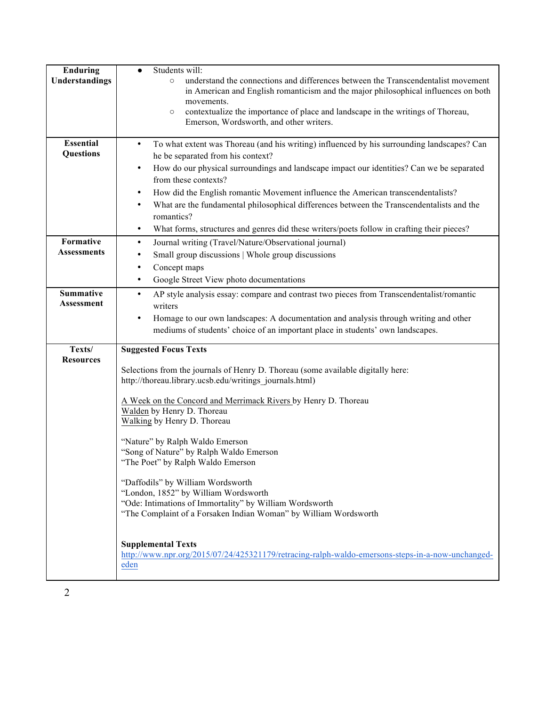| <b>Enduring</b><br>Understandings<br><b>Essential</b><br><b>Questions</b> | Students will:<br>$\bullet$<br>understand the connections and differences between the Transcendentalist movement<br>$\circ$<br>in American and English romanticism and the major philosophical influences on both<br>movements.<br>contextualize the importance of place and landscape in the writings of Thoreau,<br>$\circ$<br>Emerson, Wordsworth, and other writers.<br>To what extent was Thoreau (and his writing) influenced by his surrounding landscapes? Can<br>$\bullet$<br>he be separated from his context?                                                                                                                                                                                                                                                           |
|---------------------------------------------------------------------------|------------------------------------------------------------------------------------------------------------------------------------------------------------------------------------------------------------------------------------------------------------------------------------------------------------------------------------------------------------------------------------------------------------------------------------------------------------------------------------------------------------------------------------------------------------------------------------------------------------------------------------------------------------------------------------------------------------------------------------------------------------------------------------|
|                                                                           | How do our physical surroundings and landscape impact our identities? Can we be separated<br>$\bullet$<br>from these contexts?<br>How did the English romantic Movement influence the American transcendentalists?<br>$\bullet$<br>What are the fundamental philosophical differences between the Transcendentalists and the<br>$\bullet$<br>romantics?<br>What forms, structures and genres did these writers/poets follow in crafting their pieces?<br>$\bullet$                                                                                                                                                                                                                                                                                                                 |
| Formative<br><b>Assessments</b>                                           | Journal writing (Travel/Nature/Observational journal)<br>$\bullet$<br>Small group discussions   Whole group discussions<br>٠<br>Concept maps<br>٠<br>Google Street View photo documentations<br>$\bullet$                                                                                                                                                                                                                                                                                                                                                                                                                                                                                                                                                                          |
| <b>Summative</b><br>Assessment                                            | AP style analysis essay: compare and contrast two pieces from Transcendentalist/romantic<br>$\bullet$<br>writers<br>Homage to our own landscapes: A documentation and analysis through writing and other<br>$\bullet$<br>mediums of students' choice of an important place in students' own landscapes.                                                                                                                                                                                                                                                                                                                                                                                                                                                                            |
| Texts/<br><b>Resources</b>                                                | <b>Suggested Focus Texts</b><br>Selections from the journals of Henry D. Thoreau (some available digitally here:<br>http://thoreau.library.ucsb.edu/writings_journals.html)<br>A Week on the Concord and Merrimack Rivers by Henry D. Thoreau<br>Walden by Henry D. Thoreau<br>Walking by Henry D. Thoreau<br>"Nature" by Ralph Waldo Emerson<br>"Song of Nature" by Ralph Waldo Emerson<br>"The Poet" by Ralph Waldo Emerson<br>"Daffodils" by William Wordsworth<br>"London, 1852" by William Wordsworth<br>"Ode: Intimations of Immortality" by William Wordsworth<br>"The Complaint of a Forsaken Indian Woman" by William Wordsworth<br><b>Supplemental Texts</b><br>http://www.npr.org/2015/07/24/425321179/retracing-ralph-waldo-emersons-steps-in-a-now-unchanged-<br>eden |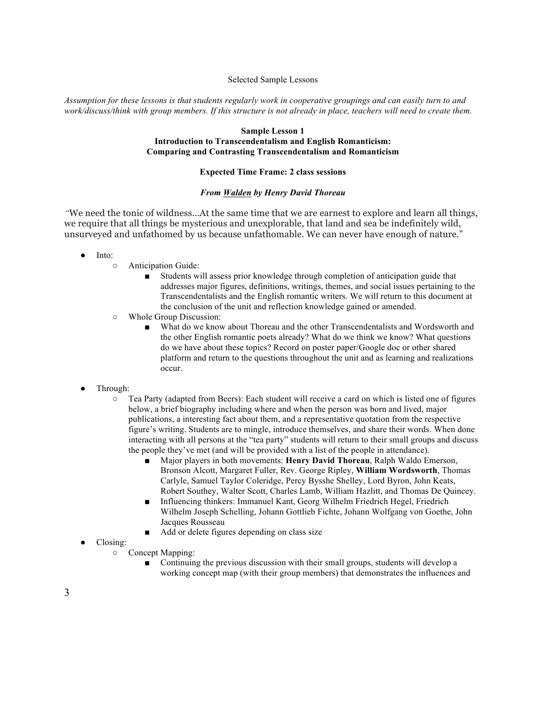### Selected Sample Lessons

*Assumption for these lessons is that students regularly work in cooperative groupings and can easily turn to and work/discuss/think with group members. If this structure is not already in place, teachers will need to create them.* 

## **Sample Lesson 1**

## **Introduction to Transcendentalism and English Romanticism: Comparing and Contrasting Transcendentalism and Romanticism**

# **Expected Time Frame: 2 class sessions**

### *From Walden by Henry David Thoreau*

*"*We need the tonic of wildness...At the same time that we are earnest to explore and learn all things, we require that all things be mysterious and unexplorable, that land and sea be indefinitely wild, unsurveyed and unfathomed by us because unfathomable. We can never have enough of nature."

- Into:
	- Anticipation Guide:
		- Students will assess prior knowledge through completion of anticipation guide that addresses major figures, definitions, writings, themes, and social issues pertaining to the Transcendentalists and the English romantic writers. We will return to this document at the conclusion of the unit and reflection knowledge gained or amended.
	- Whole Group Discussion:
		- What do we know about Thoreau and the other Transcendentalists and Wordsworth and the other English romantic poets already? What do we think we know? What questions do we have about these topics? Record on poster paper/Google doc or other shared platform and return to the questions throughout the unit and as learning and realizations occur.
- Through:
	- Tea Party (adapted from Beers): Each student will receive a card on which is listed one of figures below, a brief biography including where and when the person was born and lived, major publications, a interesting fact about them, and a representative quotation from the respective figure's writing. Students are to mingle, introduce themselves, and share their words. When done interacting with all persons at the "tea party" students will return to their small groups and discuss the people they've met (and will be provided with a list of the people in attendance).
		- Major players in both movements: **Henry David Thoreau**, Ralph Waldo Emerson, Bronson Alcott, Margaret Fuller, Rev. George Ripley, **William Wordsworth**, Thomas Carlyle, Samuel Taylor Coleridge, Percy Bysshe Shelley, Lord Byron, John Keats, Robert Southey, Walter Scott, Charles Lamb, William Hazlitt, and Thomas De Quincey.
		- Influencing thinkers: Immanuel Kant, Georg Wilhelm Friedrich Hegel, Friedrich Wilhelm Joseph Schelling, Johann Gottlieb Fichte, Johann Wolfgang von Goethe, John Jacques Rousseau
		- Add or delete figures depending on class size
- Closing:
	- Concept Mapping:
		- Continuing the previous discussion with their small groups, students will develop a working concept map (with their group members) that demonstrates the influences and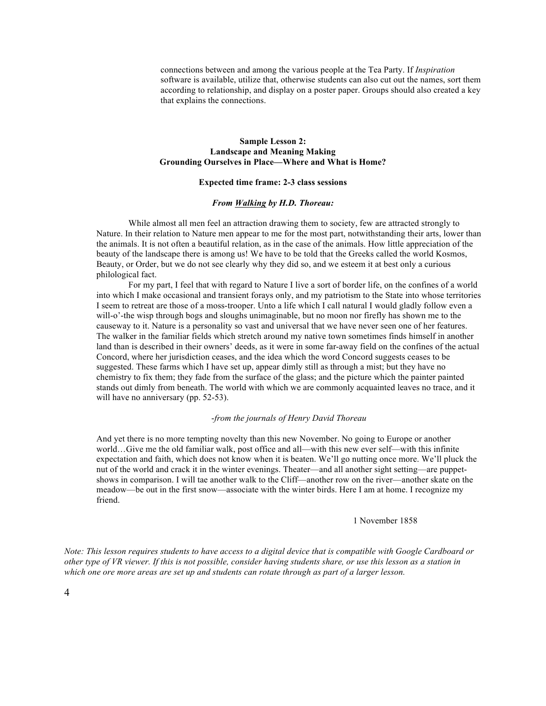connections between and among the various people at the Tea Party. If *Inspiration* software is available, utilize that, otherwise students can also cut out the names, sort them according to relationship, and display on a poster paper. Groups should also created a key that explains the connections.

## **Sample Lesson 2: Landscape and Meaning Making Grounding Ourselves in Place—Where and What is Home?**

### **Expected time frame: 2-3 class sessions**

#### *From Walking by H.D. Thoreau:*

While almost all men feel an attraction drawing them to society, few are attracted strongly to Nature. In their relation to Nature men appear to me for the most part, notwithstanding their arts, lower than the animals. It is not often a beautiful relation, as in the case of the animals. How little appreciation of the beauty of the landscape there is among us! We have to be told that the Greeks called the world Kosmos, Beauty, or Order, but we do not see clearly why they did so, and we esteem it at best only a curious philological fact.

For my part, I feel that with regard to Nature I live a sort of border life, on the confines of a world into which I make occasional and transient forays only, and my patriotism to the State into whose territories I seem to retreat are those of a moss-trooper. Unto a life which I call natural I would gladly follow even a will-o'-the wisp through bogs and sloughs unimaginable, but no moon nor firefly has shown me to the causeway to it. Nature is a personality so vast and universal that we have never seen one of her features. The walker in the familiar fields which stretch around my native town sometimes finds himself in another land than is described in their owners' deeds, as it were in some far-away field on the confines of the actual Concord, where her jurisdiction ceases, and the idea which the word Concord suggests ceases to be suggested. These farms which I have set up, appear dimly still as through a mist; but they have no chemistry to fix them; they fade from the surface of the glass; and the picture which the painter painted stands out dimly from beneath. The world with which we are commonly acquainted leaves no trace, and it will have no anniversary (pp. 52-53).

#### -*from the journals of Henry David Thoreau*

And yet there is no more tempting novelty than this new November. No going to Europe or another world…Give me the old familiar walk, post office and all—with this new ever self—with this infinite expectation and faith, which does not know when it is beaten. We'll go nutting once more. We'll pluck the nut of the world and crack it in the winter evenings. Theater—and all another sight setting—are puppetshows in comparison. I will tae another walk to the Cliff—another row on the river—another skate on the meadow—be out in the first snow—associate with the winter birds. Here I am at home. I recognize my friend.

#### 1 November 1858

*Note: This lesson requires students to have access to a digital device that is compatible with Google Cardboard or other type of VR viewer. If this is not possible, consider having students share, or use this lesson as a station in which one ore more areas are set up and students can rotate through as part of a larger lesson.*